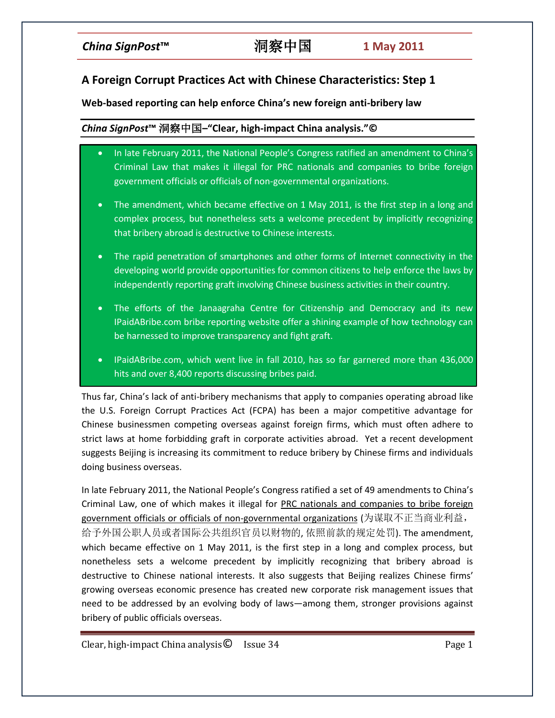# **A Foreign Corrupt Practices Act with Chinese Characteristics: Step 1**

## **Web-based reporting can help enforce China's new foreign anti-bribery law**

## *China SignPost***™** 洞察中国**–"Clear, high-impact China analysis."©**

- In late February 2011, the National People's Congress ratified an amendment to China's Criminal Law that makes it illegal for PRC nationals and companies to bribe foreign government officials or officials of non-governmental organizations.
- The amendment, which became effective on 1 May 2011, is the first step in a long and complex process, but nonetheless sets a welcome precedent by implicitly recognizing that bribery abroad is destructive to Chinese interests.
- The rapid penetration of smartphones and other forms of Internet connectivity in the developing world provide opportunities for common citizens to help enforce the laws by independently reporting graft involving Chinese business activities in their country.
- The efforts of the Janaagraha Centre for Citizenship and Democracy and its new IPaidABribe.com bribe reporting website offer a shining example of how technology can be harnessed to improve transparency and fight graft.
- IPaidABribe.com, which went live in fall 2010, has so far garnered more than 436,000 hits and over 8,400 reports discussing bribes paid.

Thus far, China's lack of anti-bribery mechanisms that apply to companies operating abroad like the U.S. Foreign Corrupt Practices Act (FCPA) has been a major competitive advantage for Chinese businessmen competing overseas against foreign firms, which must often adhere to strict laws at home forbidding graft in corporate activities abroad. Yet a recent development suggests Beijing is increasing its commitment to reduce bribery by Chinese firms and individuals doing business overseas.

In late February 2011, the National People's Congress ratified a set of 49 amendments to China's Criminal Law, one of which makes it illegal for PRC nationals and companies to bribe foreign government officials or officials of non-governmental organizations (为谋取不正当商业利益, 给予外国公职人员或者国际公共组织官员以财物的, 依照前款的规定处罚). The amendment, which became effective on 1 May 2011, is the first step in a long and complex process, but nonetheless sets a welcome precedent by implicitly recognizing that bribery abroad is destructive to Chinese national interests. It also suggests that Beijing realizes Chinese firms' growing overseas economic presence has created new corporate risk management issues that need to be addressed by an evolving body of laws—among them, stronger provisions against bribery of public officials overseas.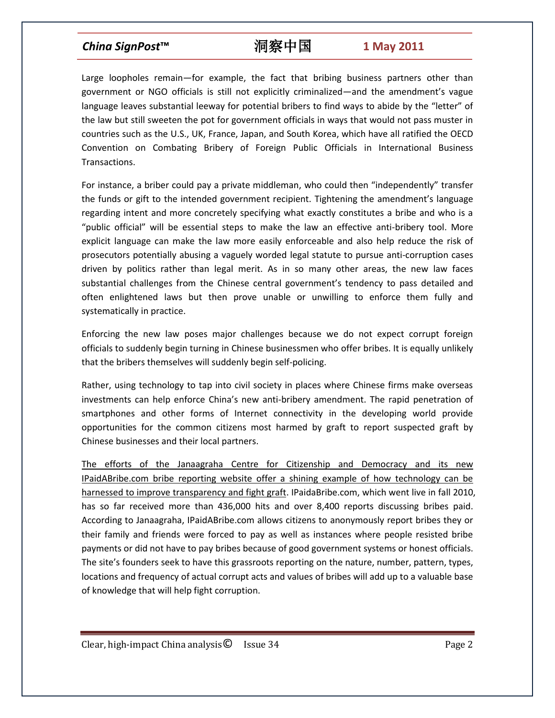# *China SignPost***™** 洞察中国 **1 May 2011**

Large loopholes remain—for example, the fact that bribing business partners other than government or NGO officials is still not explicitly criminalized—and the amendment's vague language leaves substantial leeway for potential bribers to find ways to abide by the "letter" of the law but still sweeten the pot for government officials in ways that would not pass muster in countries such as the U.S., UK, France, Japan, and South Korea, which have all ratified the OECD Convention on Combating Bribery of Foreign Public Officials in International Business Transactions.

For instance, a briber could pay a private middleman, who could then "independently" transfer the funds or gift to the intended government recipient. Tightening the amendment's language regarding intent and more concretely specifying what exactly constitutes a bribe and who is a "public official" will be essential steps to make the law an effective anti-bribery tool. More explicit language can make the law more easily enforceable and also help reduce the risk of prosecutors potentially abusing a vaguely worded legal statute to pursue anti-corruption cases driven by politics rather than legal merit. As in so many other areas, the new law faces substantial challenges from the Chinese central government's tendency to pass detailed and often enlightened laws but then prove unable or unwilling to enforce them fully and systematically in practice.

Enforcing the new law poses major challenges because we do not expect corrupt foreign officials to suddenly begin turning in Chinese businessmen who offer bribes. It is equally unlikely that the bribers themselves will suddenly begin self-policing.

Rather, using technology to tap into civil society in places where Chinese firms make overseas investments can help enforce China's new anti-bribery amendment. The rapid penetration of smartphones and other forms of Internet connectivity in the developing world provide opportunities for the common citizens most harmed by graft to report suspected graft by Chinese businesses and their local partners.

The efforts of the Janaagraha Centre for Citizenship and Democracy and its new IPaidABribe.com bribe reporting website offer a shining example of how technology can be harnessed to improve transparency and fight graft. IPaidaBribe.com, which went live in fall 2010, has so far received more than 436,000 hits and over 8,400 reports discussing bribes paid. According to Janaagraha, IPaidABribe.com allows citizens to anonymously report bribes they or their family and friends were forced to pay as well as instances where people resisted bribe payments or did not have to pay bribes because of good government systems or honest officials. The site's founders seek to have this grassroots reporting on the nature, number, pattern, types, locations and frequency of actual corrupt acts and values of bribes will add up to a valuable base of knowledge that will help fight corruption.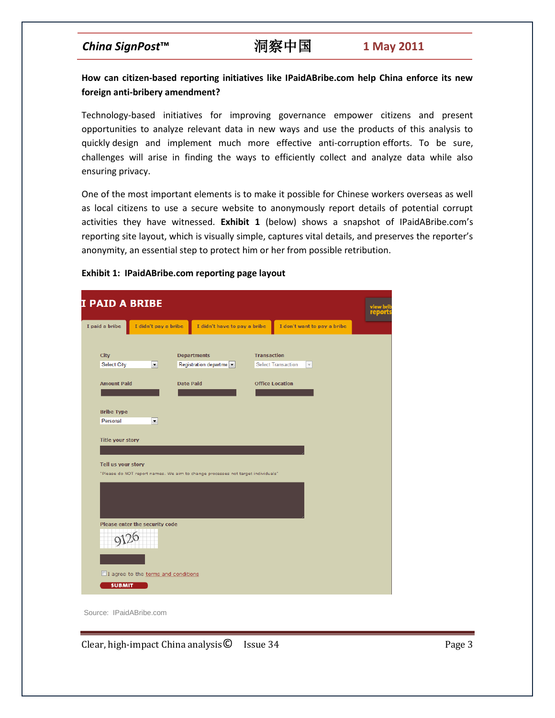# *China SignPost***™** 洞察中国 **1 May 2011**

## **How can citizen-based reporting initiatives like IPaidABribe.com help China enforce its new foreign anti-bribery amendment?**

Technology-based initiatives for improving governance empower citizens and present opportunities to analyze relevant data in new ways and use the products of this analysis to quickly design and implement much more effective anti-corruption efforts. To be sure, challenges will arise in finding the ways to efficiently collect and analyze data while also ensuring privacy.

One of the most important elements is to make it possible for Chinese workers overseas as well as local citizens to use a secure website to anonymously report details of potential corrupt activities they have witnessed. **Exhibit 1** (below) shows a snapshot of IPaidABribe.com's reporting site layout, which is visually simple, captures vital details, and preserves the reporter's anonymity, an essential step to protect him or her from possible retribution.

## **Exhibit 1: IPaidABribe.com reporting page layout**

|                                   | <b>I PAID A BRIBE</b>                 |  |                                                                                 |                    |                                 |  |
|-----------------------------------|---------------------------------------|--|---------------------------------------------------------------------------------|--------------------|---------------------------------|--|
| I paid a bribe                    | I didn't pay a bribe                  |  | I didn't have to pay a bribe                                                    |                    | I don't want to pay a bribe     |  |
|                                   |                                       |  |                                                                                 | <b>Transaction</b> |                                 |  |
| <b>City</b><br><b>Select City</b> | $\blacktriangledown$                  |  | <b>Departments</b><br>Registration departme                                     |                    | Select Transaction<br>$\forall$ |  |
|                                   |                                       |  |                                                                                 |                    |                                 |  |
| <b>Amount Paid</b>                |                                       |  | <b>Date Paid</b>                                                                |                    | <b>Office Location</b>          |  |
|                                   |                                       |  |                                                                                 |                    |                                 |  |
| <b>Bribe Type</b>                 |                                       |  |                                                                                 |                    |                                 |  |
| Personal                          | $\overline{\phantom{0}}$              |  |                                                                                 |                    |                                 |  |
| Tell us your story                |                                       |  | "Please do NOT report names. We aim to change processes not target individuals" |                    |                                 |  |
|                                   |                                       |  |                                                                                 |                    |                                 |  |
|                                   | Please enter the security code        |  |                                                                                 |                    |                                 |  |
|                                   |                                       |  |                                                                                 |                    |                                 |  |
|                                   |                                       |  |                                                                                 |                    |                                 |  |
|                                   | □ I agree to the terms and conditions |  |                                                                                 |                    |                                 |  |
| <b>SUBMIT</b>                     |                                       |  |                                                                                 |                    |                                 |  |

Source: IPaidABribe.com

Clear, high-impact China analysis © Issue 34 **Page 3** Page 3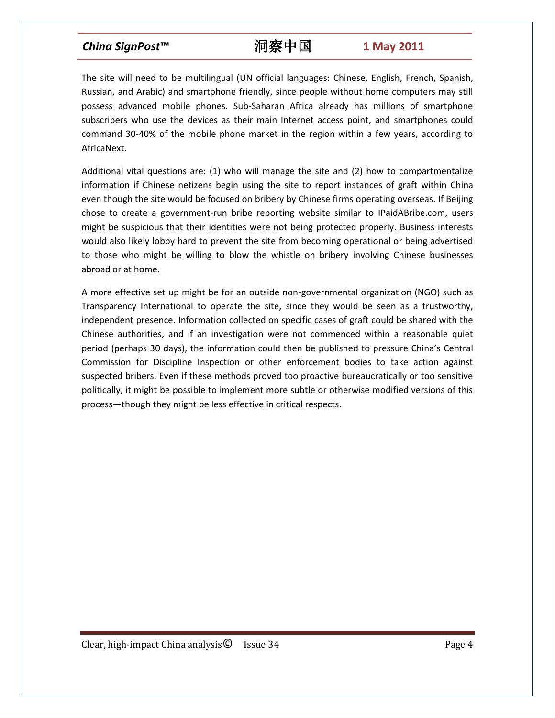# *China SignPost***™** 洞察中国 **1 May 2011**

The site will need to be multilingual (UN official languages: Chinese, English, French, Spanish, Russian, and Arabic) and smartphone friendly, since people without home computers may still possess advanced mobile phones. Sub-Saharan Africa already has millions of smartphone subscribers who use the devices as their main Internet access point, and smartphones could command 30-40% of the mobile phone market in the region within a few years, according to AfricaNext.

Additional vital questions are: (1) who will manage the site and (2) how to compartmentalize information if Chinese netizens begin using the site to report instances of graft within China even though the site would be focused on bribery by Chinese firms operating overseas. If Beijing chose to create a government-run bribe reporting website similar to IPaidABribe.com, users might be suspicious that their identities were not being protected properly. Business interests would also likely lobby hard to prevent the site from becoming operational or being advertised to those who might be willing to blow the whistle on bribery involving Chinese businesses abroad or at home.

A more effective set up might be for an outside non-governmental organization (NGO) such as Transparency International to operate the site, since they would be seen as a trustworthy, independent presence. Information collected on specific cases of graft could be shared with the Chinese authorities, and if an investigation were not commenced within a reasonable quiet period (perhaps 30 days), the information could then be published to pressure China's Central Commission for Discipline Inspection or other enforcement bodies to take action against suspected bribers. Even if these methods proved too proactive bureaucratically or too sensitive politically, it might be possible to implement more subtle or otherwise modified versions of this process—though they might be less effective in critical respects.